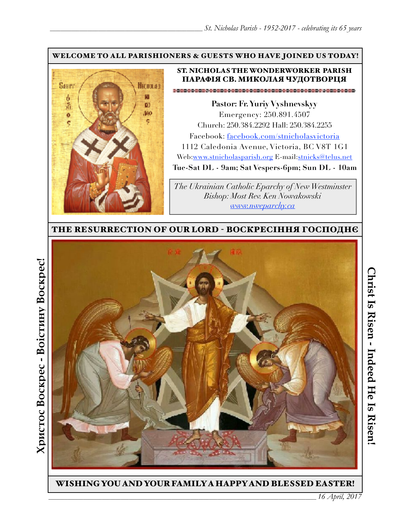#### WELCOME TO ALL PARISHIONERS & GUESTS WHO HAVE JOINED US TODAY!



### ST. NICHOLAS THE WONDERWORKER PARISH ПАРАФІЯ СВ. МИКОЛАЯ ЧУДОТВОРЦЯ

**Pastor: Fr. Yuriy Vyshnevskyy** Emergency: 250.891.4507 Church: 250.384.2292 Hall: 250.384.2255 Facebook: facebook.com/stnicholasvictoria 1112 Caledonia Avenue, Victoria, BC V8T 1G1 Web[:www.stnicholasparish.org](http://www.stnicholasparish.org) E-mail:[stnicks@telus.net](mailto:stnicks@telus.net) **Tue-Sat DL - 9am; Sat Vespers-6pm; Sun DL - 10am**

*The Ukrainian Catholic Eparchy of New Westminster Bishop: Most Rev. Ken Nowakowski [www.nweparchy.ca](http://www.nweparchy.ca)*

THE RESURRECTION OF OUR LORD - ВОСКРЕСІННЯ ГОСПОДНЄ



WISHING YOU AND YOUR FAMILY A HAPPY AND BLESSED EASTER!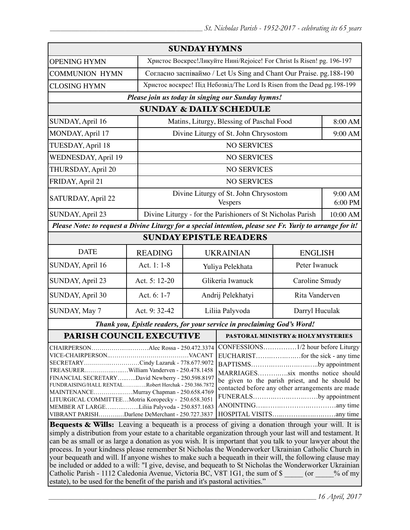| <b>SUNDAY HYMNS</b>                                                                                                                                                                                                                                                                                                                                                                                                                                                                                                                                                                                                                           |                |                                                                           |                                                             |                                       |                    |  |
|-----------------------------------------------------------------------------------------------------------------------------------------------------------------------------------------------------------------------------------------------------------------------------------------------------------------------------------------------------------------------------------------------------------------------------------------------------------------------------------------------------------------------------------------------------------------------------------------------------------------------------------------------|----------------|---------------------------------------------------------------------------|-------------------------------------------------------------|---------------------------------------|--------------------|--|
| <b>OPENING HYMN</b>                                                                                                                                                                                                                                                                                                                                                                                                                                                                                                                                                                                                                           |                | Христос Воскрес!Ликуйте Нині/Rejoice! For Christ Is Risen! pg. 196-197    |                                                             |                                       |                    |  |
| <b>COMMUNION HYMN</b>                                                                                                                                                                                                                                                                                                                                                                                                                                                                                                                                                                                                                         |                | Согласно заспіваймо / Let Us Sing and Chant Our Praise. pg. 188-190       |                                                             |                                       |                    |  |
| <b>CLOSING HYMN</b>                                                                                                                                                                                                                                                                                                                                                                                                                                                                                                                                                                                                                           |                | Христос воскрес! Під Небозвід/The Lord Is Risen from the Dead pg. 198-199 |                                                             |                                       |                    |  |
| Please join us today in singing our Sunday hymns!                                                                                                                                                                                                                                                                                                                                                                                                                                                                                                                                                                                             |                |                                                                           |                                                             |                                       |                    |  |
| <b>SUNDAY &amp; DAILY SCHEDULE</b>                                                                                                                                                                                                                                                                                                                                                                                                                                                                                                                                                                                                            |                |                                                                           |                                                             |                                       |                    |  |
| SUNDAY, April 16                                                                                                                                                                                                                                                                                                                                                                                                                                                                                                                                                                                                                              |                | Matins, Liturgy, Blessing of Paschal Food                                 |                                                             |                                       | 8:00 AM            |  |
| MONDAY, April 17                                                                                                                                                                                                                                                                                                                                                                                                                                                                                                                                                                                                                              |                |                                                                           |                                                             | Divine Liturgy of St. John Chrysostom |                    |  |
| TUESDAY, April 18                                                                                                                                                                                                                                                                                                                                                                                                                                                                                                                                                                                                                             |                | <b>NO SERVICES</b>                                                        |                                                             |                                       |                    |  |
| WEDNESDAY, April 19                                                                                                                                                                                                                                                                                                                                                                                                                                                                                                                                                                                                                           |                | <b>NO SERVICES</b>                                                        |                                                             |                                       |                    |  |
| THURSDAY, April 20                                                                                                                                                                                                                                                                                                                                                                                                                                                                                                                                                                                                                            |                | <b>NO SERVICES</b>                                                        |                                                             |                                       |                    |  |
| FRIDAY, April 21                                                                                                                                                                                                                                                                                                                                                                                                                                                                                                                                                                                                                              |                | <b>NO SERVICES</b>                                                        |                                                             |                                       |                    |  |
| SATURDAY, April 22                                                                                                                                                                                                                                                                                                                                                                                                                                                                                                                                                                                                                            |                |                                                                           | Divine Liturgy of St. John Chrysostom<br>Vespers            |                                       | 9:00 AM<br>6:00 PM |  |
| SUNDAY, April 23                                                                                                                                                                                                                                                                                                                                                                                                                                                                                                                                                                                                                              |                |                                                                           | Divine Liturgy - for the Parishioners of St Nicholas Parish |                                       | 10:00 AM           |  |
| Please Note: to request a Divine Liturgy for a special intention, please see Fr. Yuriy to arrange for it!                                                                                                                                                                                                                                                                                                                                                                                                                                                                                                                                     |                |                                                                           |                                                             |                                       |                    |  |
| <b>SUNDAY EPISTLE READERS</b>                                                                                                                                                                                                                                                                                                                                                                                                                                                                                                                                                                                                                 |                |                                                                           |                                                             |                                       |                    |  |
| <b>DATE</b>                                                                                                                                                                                                                                                                                                                                                                                                                                                                                                                                                                                                                                   | <b>READING</b> | <b>UKRAINIAN</b><br><b>ENGLISH</b>                                        |                                                             |                                       |                    |  |
| SUNDAY, April 16                                                                                                                                                                                                                                                                                                                                                                                                                                                                                                                                                                                                                              | Act. 1: 1-8    | Peter Iwanuck<br>Yuliya Pelekhata                                         |                                                             |                                       |                    |  |
| SUNDAY, April 23                                                                                                                                                                                                                                                                                                                                                                                                                                                                                                                                                                                                                              | Act. 5: 12-20  | Glikeria Iwanuck                                                          |                                                             | Caroline Smudy                        |                    |  |
| SUNDAY, April 30                                                                                                                                                                                                                                                                                                                                                                                                                                                                                                                                                                                                                              | Act. 6: 1-7    | Andrij Pelekhatyi                                                         |                                                             | Rita Vanderven                        |                    |  |
| SUNDAY, May 7                                                                                                                                                                                                                                                                                                                                                                                                                                                                                                                                                                                                                                 | Act. 9: 32-42  | Liliia Palyvoda                                                           |                                                             | Darryl Huculak                        |                    |  |
| Thank you, Epistle readers, for your service in proclaiming God's Word!                                                                                                                                                                                                                                                                                                                                                                                                                                                                                                                                                                       |                |                                                                           |                                                             |                                       |                    |  |
| <b>PARISH COUNCIL EXECUTIVE</b>                                                                                                                                                                                                                                                                                                                                                                                                                                                                                                                                                                                                               |                |                                                                           | <b>PASTORAL MINISTRY &amp; HOLY MYSTERIES</b>               |                                       |                    |  |
| CHAIRPERSONAlec Rossa - 250.472.3374<br>SECRETARYCindy Lazaruk - 778.677.9072<br>BAPTISMSby appointment<br>TREASURERWilliam Vanderven - 250.478.1458<br>MARRIAGESsix months notice should<br>FINANCIAL SECRETARYDavid Newberry - 250.598.8197<br>be given to the parish priest, and he should be<br>FUNDRAISING/HALL RENTALRobert Herchak - 250.386.7872<br>contacted before any other arrangements are made<br>MAINTENANCEMurray Chapman - 250.658.4769<br>FUNERALSby appointment<br>LITURGICAL COMMITTEEMotria Koropecky - 250.658.3051<br>MEMBER AT LARGELiliia Palyvoda - 250.857.1683<br>VIBRANT PARISHDarlene DeMerchant - 250.727.3837 |                |                                                                           |                                                             |                                       |                    |  |
| <b>Bequests &amp; Wills:</b> Leaving a bequeath is a process of giving a donation through your will. It is                                                                                                                                                                                                                                                                                                                                                                                                                                                                                                                                    |                |                                                                           |                                                             |                                       |                    |  |

simply a distribution from your estate to a charitable organization through your last will and testament. It can be as small or as large a donation as you wish. It is important that you talk to your lawyer about the process. In your kindness please remember St Nicholas the Wonderworker Ukrainian Catholic Church in your bequeath and will. If anyone wishes to make such a bequeath in their will, the following clause may be included or added to a will: "I give, devise, and bequeath to St Nicholas the Wonderworker Ukrainian Catholic Parish - 1112 Caledonia Avenue, Victoria BC, V8T 1G1, the sum of \$  $\qquad \qquad$  (or  $\qquad \qquad$  % of my estate), to be used for the benefit of the parish and it's pastoral activities."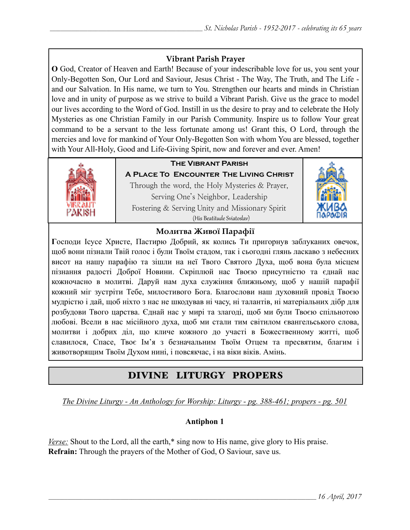## **Vibrant Parish Prayer**

**O** God, Creator of Heaven and Earth! Because of your indescribable love for us, you sent your Only-Begotten Son, Our Lord and Saviour, Jesus Christ - The Way, The Truth, and The Life and our Salvation. In His name, we turn to You. Strengthen our hearts and minds in Christian love and in unity of purpose as we strive to build a Vibrant Parish. Give us the grace to model our lives according to the Word of God. Instill in us the desire to pray and to celebrate the Holy Mysteries as one Christian Family in our Parish Community. Inspire us to follow Your great command to be a servant to the less fortunate among us! Grant this, O Lord, through the mercies and love for mankind of Your Only-Begotten Son with whom You are blessed, together with Your All-Holy, Good and Life-Giving Spirit, now and forever and ever. Amen!



## **The Vibrant Parish**

**A Place To Encounter The Living Christ** Through the word, the Holy Mysteries & Prayer, Serving One's Neighbor, Leadership Fostering & Serving Unity and Missionary Spirit (His Beatitude Sviatoslav)



## **Молитва Живої Парафії**

**Г**осподи Ісусе Христе, Пастирю Добрий, як колись Ти пригорнув заблуканих овечок, щоб вони пізнали Твій голос і були Твоїм стадом, так і сьогодні глянь ласкаво з небесних висот на нашу парафію та зішли на неї Твого Святого Духа, щоб вона була місцем пізнання радості Доброї Новини. Скріплюй нас Твоєю присутністю та єднай нас кожночасно в молитві. Даруй нам духа служіння ближньому, щоб у нашій парафії кожний міг зустріти Тебе, милостивого Бога. Благослови наш духовний провід Твоєю мудрістю і дай, щоб ніхто з нас не шкодував ні часу, ні талантів, ні матеріальних дібр для розбудови Твого царства. Єднай нас у мирі та злагоді, щоб ми були Твоєю спільнотою любові. Всели в нас місійного духа, щоб ми стали тим світилом євангельського слова, молитви і добрих діл, що кличе кожного до участі в Божественному житті, щоб славилося, Спасе, Твоє Ім'я з безначальним Твоїм Отцем та пресвятим, благим і животворящим Твоїм Духом нині, і повсякчас, і на віки віків. Амінь.

# DIVINE LITURGY PROPERS

*The Divine Liturgy - An Anthology for Worship: Liturgy - pg. 388-461; propers - pg. 501*

## **Antiphon 1**

*Verse:* Shout to the Lord, all the earth,\* sing now to His name, give glory to His praise. **Refrain:** Through the prayers of the Mother of God, O Saviour, save us.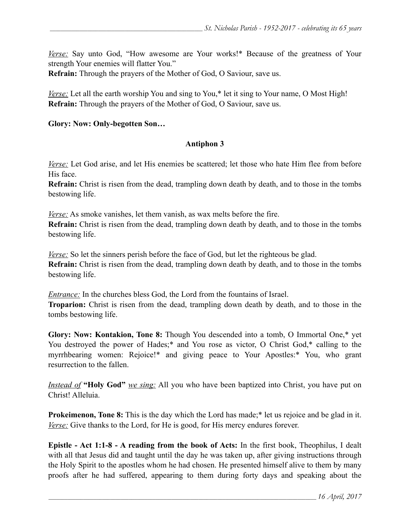*Verse:* Say unto God, "How awesome are Your works!\* Because of the greatness of Your strength Your enemies will flatter You."

**Refrain:** Through the prayers of the Mother of God, O Saviour, save us.

*Verse:* Let all the earth worship You and sing to You,<sup>\*</sup> let it sing to Your name, O Most High! **Refrain:** Through the prayers of the Mother of God, O Saviour, save us.

#### **Glory: Now: Only-begotten Son…**

#### **Antiphon 3**

*Verse:* Let God arise, and let His enemies be scattered; let those who hate Him flee from before His face.

**Refrain:** Christ is risen from the dead, trampling down death by death, and to those in the tombs bestowing life.

*Verse:* As smoke vanishes, let them vanish, as wax melts before the fire.

**Refrain:** Christ is risen from the dead, trampling down death by death, and to those in the tombs bestowing life.

*Verse:* So let the sinners perish before the face of God, but let the righteous be glad. **Refrain:** Christ is risen from the dead, trampling down death by death, and to those in the tombs bestowing life.

*Entrance:* In the churches bless God, the Lord from the fountains of Israel. **Troparion:** Christ is risen from the dead, trampling down death by death, and to those in the tombs bestowing life.

**Glory: Now: Kontakion, Tone 8:** Though You descended into a tomb, O Immortal One,\* yet You destroyed the power of Hades;\* and You rose as victor, O Christ God,\* calling to the myrrhbearing women: Rejoice!\* and giving peace to Your Apostles:\* You, who grant resurrection to the fallen.

*Instead of* **"Holy God"** *we sing:* All you who have been baptized into Christ, you have put on Christ! Alleluia.

**Prokeimenon, Tone 8:** This is the day which the Lord has made;<sup>\*</sup> let us rejoice and be glad in it. *Verse:* Give thanks to the Lord, for He is good, for His mercy endures forever.

**Epistle - Act 1:1-8 - A reading from the book of Acts:** In the first book, Theophilus, I dealt with all that Jesus did and taught until the day he was taken up, after giving instructions through the Holy Spirit to the apostles whom he had chosen. He presented himself alive to them by many proofs after he had suffered, appearing to them during forty days and speaking about the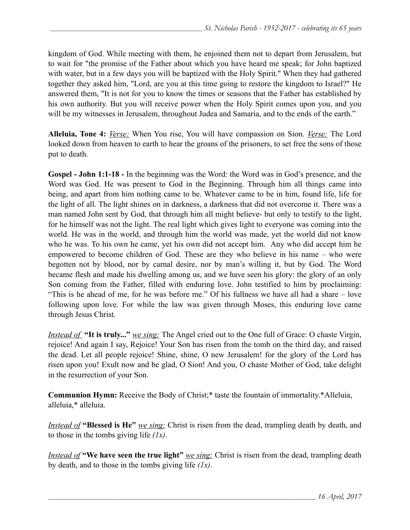kingdom of God. While meeting with them, he enjoined them not to depart from Jerusalem, but to wait for "the promise of the Father about which you have heard me speak; for John baptized with water, but in a few days you will be baptized with the Holy Spirit." When they had gathered together they asked him, "Lord, are you at this time going to restore the kingdom to Israel?" He answered them, "It is not for you to know the times or seasons that the Father has established by his own authority. But you will receive power when the Holy Spirit comes upon you, and you will be my witnesses in Jerusalem, throughout Judea and Samaria, and to the ends of the earth."

**Alleluia, Tone 4:** *Verse:* When You rise, You will have compassion on Sion. *Verse:* The Lord looked down from heaven to earth to hear the groans of the prisoners, to set free the sons of those put to death.

**Gospel - John 1:1-18 -** In the beginning was the Word: the Word was in God's presence, and the Word was God. He was present to God in the Beginning. Through him all things came into being, and apart from him nothing came to be. Whatever came to be in him, found life, life for the light of all. The light shines on in darkness, a darkness that did not overcome it. There was a man named John sent by God, that through him all might believe- but only to testify to the light, for he himself was not the light. The real light which gives light to everyone was coming into the world. He was in the world, and through him the world was made, yet the world did not know who he was. To his own he came, yet his own did not accept him. Any who did accept him he empowered to become children of God. These are they who believe in his name – who were begotten not by blood, nor by carnal desire, nor by man's willing it, but by God. The Word became flesh and made his dwelling among us, and we have seen his glory: the glory of an only Son coming from the Father, filled with enduring love. John testified to him by proclaiming: "This is he ahead of me, for he was before me." Of his fullness we have all had a share – love following upon love. For while the law was given through Moses, this enduring love came through Jesus Christ.

*Instead of* **"It is truly..."** *we sing:* The Angel cried out to the One full of Grace: O chaste Virgin, rejoice! And again I say, Rejoice! Your Son has risen from the tomb on the third day, and raised the dead. Let all people rejoice! Shine, shine, O new Jerusalem! for the glory of the Lord has risen upon you! Exult now and be glad, O Sion! And you, O chaste Mother of God, take delight in the resurrection of your Son.

**Сommunion Hymn:** Receive the Body of Christ;\* taste the fountain of immortality.\*Alleluia, alleluia,\* alleluia.

*Instead of* **"Blessed is He"** *we sing:* Christ is risen from the dead, trampling death by death, and to those in the tombs giving life *(1x)*.

*Instead of* **"We have seen the true light"** *<u>we sing:</u>* Christ is risen from the dead, trampling death by death, and to those in the tombs giving life *(1x)*.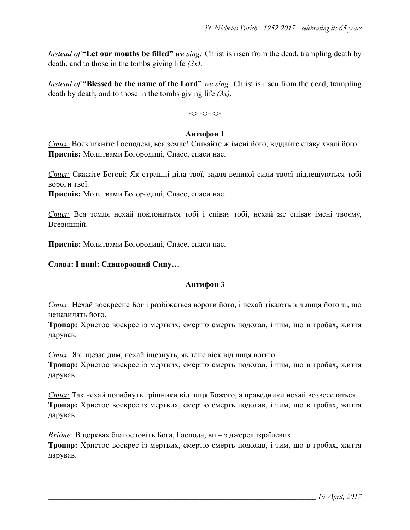*Instead of* "Let our mouths be filled" *we sing:* Christ is risen from the dead, trampling death by death, and to those in the tombs giving life *(3x)*.

*Instead of* **"Blessed be the name of the Lord"** *we sing:* Christ is risen from the dead, trampling death by death, and to those in the tombs giving life *(3x)*.

 $\Leftrightarrow$   $\Leftrightarrow$   $\Leftrightarrow$ 

#### **Антифон 1**

*Стих:* Воскликніте Господеві, вся земле! Співайте ж імені його, віддайте славу хвалі його. **Приспів:** Молитвами Богородиці, Спасе, спаси нас.

*Стих:* Скажіте Богові: Як страшні діла твої, задля великої сили твоєї підлещуються тобі вороги твої.

**Приспів:** Молитвами Богородиці, Спасе, спаси нас.

*Стих:* Вся земля нехай поклониться тобі і співає тобі, нехай же співає імені твоєму, Всевишній.

**Приспів:** Молитвами Богородиці, Спасе, спаси нас.

#### **Слава: І нині: Єдинородний Сину…**

#### **Антифон 3**

*Стих:* Нехай воскресне Бог і розбіжаться вороги його, і нехай тікають від лиця його ті, що ненавидять його.

**Тропар:** Христос воскрес із мертвих, смертю смерть подолав, і тим, що в гробах, життя дарував.

*Стих:* Як іщезає дим, нехай іщезнуть, як тане віск від лиця вогню.

**Тропар:** Христос воскрес із мертвих, смертю смерть подолав, і тим, що в гробах, життя дарував.

*Стих:* Так нехай погибнуть грішники від лиця Божого, а праведники нехай возвеселяться. **Тропар:** Христос воскрес із мертвих, смертю смерть подолав, і тим, що в гробах, життя дарував.

*Вхідне:* В церквах благословіть Бога, Господа, ви – з джерел ізраїлевих.

**Тропар:** Христос воскрес із мертвих, смертю смерть подолав, і тим, що в гробах, життя дарував.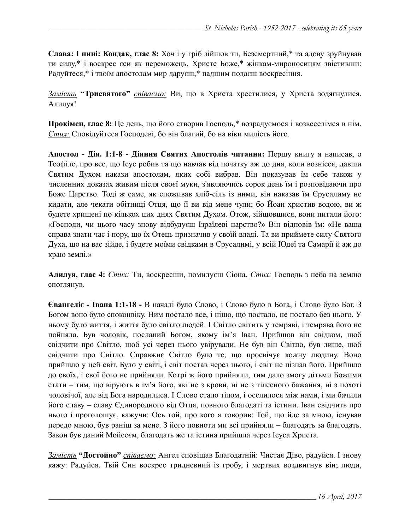**Слава: І нині: Кондак, глас 8:** Хоч і у гріб зійшов ти, Безсмертний,\* та адову зруйнував ти силу,\* і воскрес єси як переможець, Христе Боже,\* жінкам-мироносицям звістивши: Радуйтеся,\* і твоїм апостолам мир даруєш,\* падшим подаєш воскресіння.

*Замість* **"Трисвятого"** *співаємо:* Ви, що в Христа хрестилися, у Христа зодягнулися. Алилуя!

**Прокімен, глас 8:** Це день, що його створив Господь,\* возрадуємося і возвеселімся в нім. *Стих:* Сповідуйтеся Господеві, бо він благий, бо на віки милість його.

**Апостол - Дія. 1:1-8 - Діяння Святих Апостолів читання:** Першу книгу я написав, о Теофіле, про все, що Ісус робив та що навчав від початку аж до дня, коли вознісся, давши Святим Духом накази апостолам, яких собі вибрав. Він показував їм себе також у численних доказах живим після своєї муки, з'являючись сорок день їм і розповідаючи про Боже Царство. Тоді ж саме, як споживав хліб-сіль із ними, він наказав їм Єрусалиму не кидати, але чекати обітниці Отця, що її ви від мене чули; бо Йоан христив водою, ви ж будете хрищені по кількох цих днях Святим Духом. Отож, зійшовшися, вони питали його: «Господи, чи цього часу знову відбудуєш Ізраїлеві царство?» Він відповів їм: «Не ваша справа знати час і пору, що їх Отець призначив у своїй владі. Та ви приймете силу Святого Духа, що на вас зійде, і будете моїми свідками в Єрусалимі, у всій Юдеї та Самарії й аж до краю землі.»

**Алилуя, глас 4:** *Стих:* Ти, воскресши, помилуєш Сіона. *Стих:* Господь з неба на землю споглянув.

**Євангеліє - Івана 1:1-18 -** В началі було Слово, і Слово було в Бога, і Слово було Бог. З Богом воно було споконвіку. Ним постало все, і ніщо, що постало, не постало без нього. У ньому було життя, і життя було світло людей. І Світло світить у темряві, і темрява його не пойняла. Був чоловік, посланий Богом, якому ім'я Іван. Прийшов він свідком, щоб свідчити про Світло, щоб усі через нього увірували. Не був він Світло, був лише, щоб свідчити про Світло. Справжнє Світло було те, що просвічує кожну людину. Воно прийшло у цей світ. Було у світі, і світ постав через нього, і світ не пізнав його. Прийшло до своїх, і свої його не прийняли. Котрі ж його прийняли, тим дало змогу дітьми Божими стати – тим, що вірують в ім'я його, які не з крови, ні не з тілесного бажання, ні з похоті чоловічої, але від Бога народилися. І Слово стало тілом, і оселилося між нами, і ми бачили його славу – славу Єдинородного від Отця, повного благодаті та істини. Іван свідчить про нього і проголошує, кажучи: Ось той, про кого я говорив: Той, що йде за мною, існував передо мною, був раніш за мене. З його повноти ми всі прийняли – благодать за благодать. Закон був даний Мойсеєм, благодать же та істина прийшла через Ісуса Христа.

*Замість* **"Достойно"** *співаємо:* Ангел сповіщав Благодатній: Чистая Діво, радуйся. І знову кажу: Радуйся. Твій Син воскрес тридневний із гробу, і мертвих воздвигнув він; люди,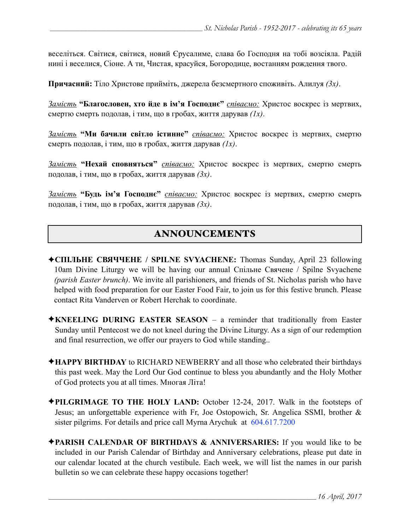веселіться. Світися, світися, новий Єрусалиме, слава бо Господня на тобі возсіяла. Радій нині і веселися, Сіоне. А ти, Чистая, красуйся, Богородице, востанням рождення твого.

**Причасний:** Тіло Христове прийміть, джерела безсмертного споживіть. Алилуя *(3x)*.

*Замість* **"Благословен, хто йде в ім'я Господнє"** *співаємо:* Христос воскрес із мертвих, смертю смерть подолав, і тим, що в гробах, життя дарував *(1x)*.

*Замість* **"Ми бачили світло істинне"** *співаємо:* Христос воскрес із мертвих, смертю смерть подолав, і тим, що в гробах, життя дарував *(1x)*.

*Замість* **"Нехай сповняться"** *співаємо:* Христос воскрес із мертвих, смертю смерть подолав, і тим, що в гробах, життя дарував *(3x)*.

*Замість* **"Будь ім'я Господнє"** *співаємо:* Христос воскрес із мертвих, смертю смерть подолав, і тим, що в гробах, життя дарував *(3x)*.

# ANNOUNCEMENTS

- ✦**СПІЛЬНЕ СВЯЧЧЕНЕ / SPILNE SVYACHENE:** Thomas Sunday, April 23 following 10am Divine Liturgy we will be having our annual Спільне Свячене / Spilne Svyachene *(parish Easter brunch)*. We invite all parishioners, and friends of St. Nicholas parish who have helped with food preparation for our Easter Food Fair, to join us for this festive brunch. Please contact Rita Vanderven or Robert Herchak to coordinate.
- ✦**KNEELING DURING EASTER SEASON**  a reminder that traditionally from Easter Sunday until Pentecost we do not kneel during the Divine Liturgy. As a sign of our redemption and final resurrection, we offer our prayers to God while standing..
- ✦**HAPPY BIRTHDAY** to RICHARD NEWBERRY and all those who celebrated their birthdays this past week. May the Lord Our God continue to bless you abundantly and the Holy Mother of God protects you at all times. Многая Літа!
- ✦**PILGRIMAGE TO THE HOLY LAND:** October 12-24, 2017. Walk in the footsteps of Jesus; an unforgettable experience with Fr, Joe Ostopowich, Sr. Angelica SSMI, brother & sister pilgrims. For details and price call Myrna Arychuk at 604.617.7200
- ✦**PARISH CALENDAR OF BIRTHDAYS & ANNIVERSARIES:** If you would like to be included in our Parish Calendar of Birthday and Anniversary celebrations, please put date in our calendar located at the church vestibule. Each week, we will list the names in our parish bulletin so we can celebrate these happy occasions together!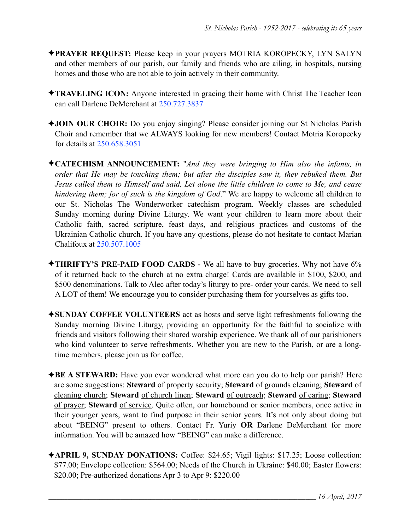- ✦**PRAYER REQUEST:** Please keep in your prayers MOTRIA KOROPECKY, LYN SALYN and other members of our parish, our family and friends who are ailing, in hospitals, nursing homes and those who are not able to join actively in their community.
- ✦**TRAVELING ICON:** Anyone interested in gracing their home with Christ The Teacher Icon can call Darlene DeMerchant at 250.727.3837
- ✦**JOIN OUR CHOIR:** Do you enjoy singing? Please consider joining our St Nicholas Parish Choir and remember that we ALWAYS looking for new members! Contact Motria Koropecky for details at 250.658.3051
- ✦**CATECHISM ANNOUNCEMENT:** "*And they were bringing to Him also the infants, in order that He may be touching them; but after the disciples saw it, they rebuked them. But Jesus called them to Himself and said, Let alone the little children to come to Me, and cease hindering them; for of such is the kingdom of God*." We are happy to welcome all children to our St. Nicholas The Wonderworker catechism program. Weekly classes are scheduled Sunday morning during Divine Liturgy. We want your children to learn more about their Catholic faith, sacred scripture, feast days, and religious practices and customs of the Ukrainian Catholic church. If you have any questions, please do not hesitate to contact Marian Chalifoux at 250.507.1005
- ✦**THRIFTY'S PRE-PAID FOOD CARDS** We all have to buy groceries. Why not have 6% of it returned back to the church at no extra charge! Cards are available in \$100, \$200, and \$500 denominations. Talk to Alec after today's liturgy to pre- order your cards. We need to sell A LOT of them! We encourage you to consider purchasing them for yourselves as gifts too.
- ✦**SUNDAY COFFEE VOLUNTEERS** act as hosts and serve light refreshments following the Sunday morning Divine Liturgy, providing an opportunity for the faithful to socialize with friends and visitors following their shared worship experience. We thank all of our parishioners who kind volunteer to serve refreshments. Whether you are new to the Parish, or are a longtime members, please join us for coffee.
- ✦**BE A STEWARD:** Have you ever wondered what more can you do to help our parish? Here are some suggestions: **Steward** of property security; **Steward** of grounds cleaning; **Steward** of cleaning church; **Steward** of church linen; **Steward** of outreach; **Steward** of caring; **Steward** of prayer; **Steward** of service. Quite often, our homebound or senior members, once active in their younger years, want to find purpose in their senior years. It's not only about doing but about "BEING" present to others. Contact Fr. Yuriy **OR** Darlene DeMerchant for more information. You will be amazed how "BEING" can make a difference.
- ✦**APRIL 9, SUNDAY DONATIONS:** Coffee: \$24.65; Vigil lights: \$17.25; Loose collection: \$77.00; Envelope collection: \$564.00; Needs of the Church in Ukraine: \$40.00; Easter flowers: \$20.00; Pre-authorized donations Apr 3 to Apr 9: \$220.00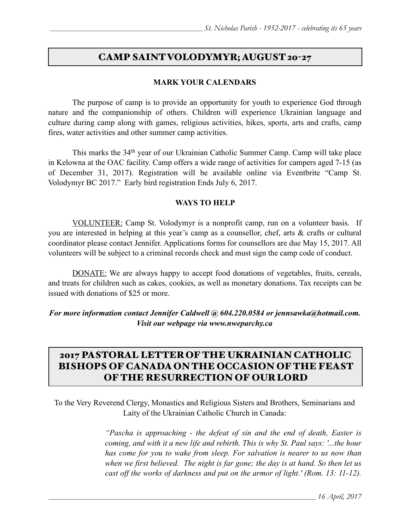## CAMP SAINT VOLODYMYR; AUGUST 20-27

#### **MARK YOUR CALENDARS**

 The purpose of camp is to provide an opportunity for youth to experience God through nature and the companionship of others. Children will experience Ukrainian language and culture during camp along with games, religious activities, hikes, sports, arts and crafts, camp fires, water activities and other summer camp activities.

 This marks the 34th year of our Ukrainian Catholic Summer Camp. Camp will take place in Kelowna at the OAC facility. Camp offers a wide range of activities for campers aged 7-15 (as of December 31, 2017). Registration will be available online via Eventbrite "Camp St. Volodymyr BC 2017." Early bird registration Ends July 6, 2017.

#### **WAYS TO HELP**

VOLUNTEER: Camp St. Volodymyr is a nonprofit camp, run on a volunteer basis. If you are interested in helping at this year's camp as a counsellor, chef, arts & crafts or cultural coordinator please contact Jennifer. Applications forms for counsellors are due May 15, 2017. All volunteers will be subject to a criminal records check and must sign the camp code of conduct.

DONATE: We are always happy to accept food donations of vegetables, fruits, cereals, and treats for children such as cakes, cookies, as well as monetary donations. Tax receipts can be issued with donations of \$25 or more.

*For more information contact Jennifer Caldwell @ 604.220.0584 or [jennsawka@hotmail.com.](mailto:jennsawka@hotmail.com) Visit our webpage via [www.nweparchy.ca](http://www.nweparchy.ca)*

# 2017 PASTORAL LETTER OF THE UKRAINIAN CATHOLIC BISHOPS OF CANADA ON THE OCCASION OF THE FEAST OF THE RESURRECTION OF OUR LORD

To the Very Reverend Clergy, Monastics and Religious Sisters and Brothers, Seminarians and Laity of the Ukrainian Catholic Church in Canada:

> *"Pascha is approaching - the defeat of sin and the end of death, Easter is coming, and with it a new life and rebirth. This is why St. Paul says: '...the hour has come for you to wake from sleep. For salvation is nearer to us now than when we first believed. The night is far gone; the day is at hand. So then let us cast off the works of darkness and put on the armor of light.' (Rom. 13: 11-12).*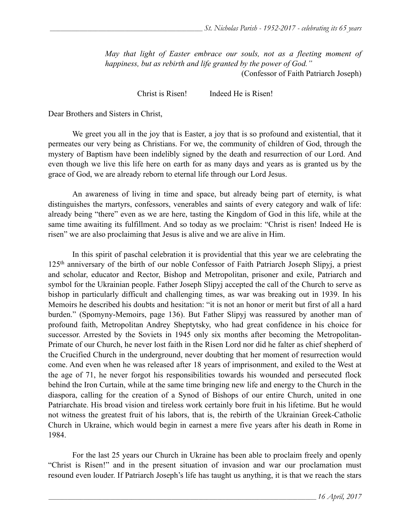*May that light of Easter embrace our souls, not as a fleeting moment of happiness, but as rebirth and life granted by the power of God."*  (Confessor of Faith Patriarch Joseph)

Christ is Risen! Indeed He is Risen!

Dear Brothers and Sisters in Christ,

 We greet you all in the joy that is Easter, a joy that is so profound and existential, that it permeates our very being as Christians. For we, the community of children of God, through the mystery of Baptism have been indelibly signed by the death and resurrection of our Lord. And even though we live this life here on earth for as many days and years as is granted us by the grace of God, we are already reborn to eternal life through our Lord Jesus.

 An awareness of living in time and space, but already being part of eternity, is what distinguishes the martyrs, confessors, venerables and saints of every category and walk of life: already being "there" even as we are here, tasting the Kingdom of God in this life, while at the same time awaiting its fulfillment. And so today as we proclaim: "Christ is risen! Indeed He is risen" we are also proclaiming that Jesus is alive and we are alive in Him.

 In this spirit of paschal celebration it is providential that this year we are celebrating the 125th anniversary of the birth of our noble Confessor of Faith Patriarch Joseph Slipyj, a priest and scholar, educator and Rector, Bishop and Metropolitan, prisoner and exile, Patriarch and symbol for the Ukrainian people. Father Joseph Slipyj accepted the call of the Church to serve as bishop in particularly difficult and challenging times, as war was breaking out in 1939. In his Memoirs he described his doubts and hesitation: "it is not an honor or merit but first of all a hard burden." (Spomyny-Memoirs, page 136). But Father Slipyj was reassured by another man of profound faith, Metropolitan Andrey Sheptytsky, who had great confidence in his choice for successor. Arrested by the Soviets in 1945 only six months after becoming the Metropolitan-Primate of our Church, he never lost faith in the Risen Lord nor did he falter as chief shepherd of the Crucified Church in the underground, never doubting that her moment of resurrection would come. And even when he was released after 18 years of imprisonment, and exiled to the West at the age of 71, he never forgot his responsibilities towards his wounded and persecuted flock behind the Iron Curtain, while at the same time bringing new life and energy to the Church in the diaspora, calling for the creation of a Synod of Bishops of our entire Church, united in one Patriarchate. His broad vision and tireless work certainly bore fruit in his lifetime. But he would not witness the greatest fruit of his labors, that is, the rebirth of the Ukrainian Greek-Catholic Church in Ukraine, which would begin in earnest a mere five years after his death in Rome in 1984.

 For the last 25 years our Church in Ukraine has been able to proclaim freely and openly "Christ is Risen!" and in the present situation of invasion and war our proclamation must resound even louder. If Patriarch Joseph's life has taught us anything, it is that we reach the stars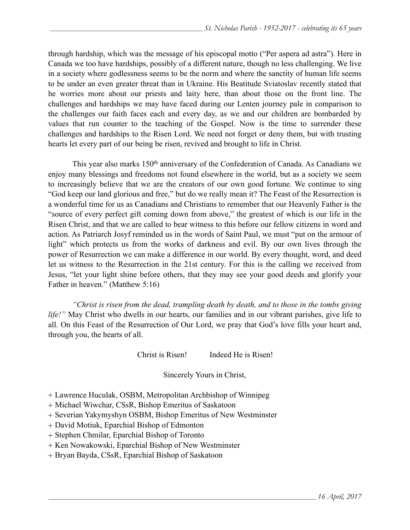through hardship, which was the message of his episcopal motto ("Per aspera ad astra"). Here in Canada we too have hardships, possibly of a different nature, though no less challenging. We live in a society where godlessness seems to be the norm and where the sanctity of human life seems to be under an even greater threat than in Ukraine. His Beatitude Sviatoslav recently stated that he worries more about our priests and laity here, than about those on the front line. The challenges and hardships we may have faced during our Lenten journey pale in comparison to the challenges our faith faces each and every day, as we and our children are bombarded by values that run counter to the teaching of the Gospel. Now is the time to surrender these challenges and hardships to the Risen Lord. We need not forget or deny them, but with trusting hearts let every part of our being be risen, revived and brought to life in Christ.

This year also marks 150<sup>th</sup> anniversary of the Confederation of Canada. As Canadians we enjoy many blessings and freedoms not found elsewhere in the world, but as a society we seem to increasingly believe that we are the creators of our own good fortune. We continue to sing "God keep our land glorious and free," but do we really mean it? The Feast of the Resurrection is a wonderful time for us as Canadians and Christians to remember that our Heavenly Father is the "source of every perfect gift coming down from above," the greatest of which is our life in the Risen Christ, and that we are called to bear witness to this before our fellow citizens in word and action. As Patriarch Josyf reminded us in the words of Saint Paul, we must "put on the armour of light" which protects us from the works of darkness and evil. By our own lives through the power of Resurrection we can make a difference in our world. By every thought, word, and deed let us witness to the Resurrection in the 21st century. For this is the calling we received from Jesus, "let your light shine before others, that they may see your good deeds and glorify your Father in heaven." (Matthew 5:16)

*"Christ is risen from the dead, trampling death by death, and to those in the tombs giving life!*" May Christ who dwells in our hearts, our families and in our vibrant parishes, give life to all. On this Feast of the Resurrection of Our Lord, we pray that God's love fills your heart and, through you, the hearts of all.

Christ is Risen! Indeed He is Risen!

Sincerely Yours in Christ,

+ Lawrence Huculak, OSBM, Metropolitan Archbishop of Winnipeg

+ Michael Wiwchar, CSsR, Bishop Emeritus of Saskatoon

+ Severian Yakymyshyn OSBM, Bishop Emeritus of New Westminster

+ David Motiuk, Eparchial Bishop of Edmonton

+ Stephen Chmilar, Eparchial Bishop of Toronto

+ Ken Nowakowski, Eparchial Bishop of New Westminster

+ Bryan Bayda, CSsR, Eparchial Bishop of Saskatoon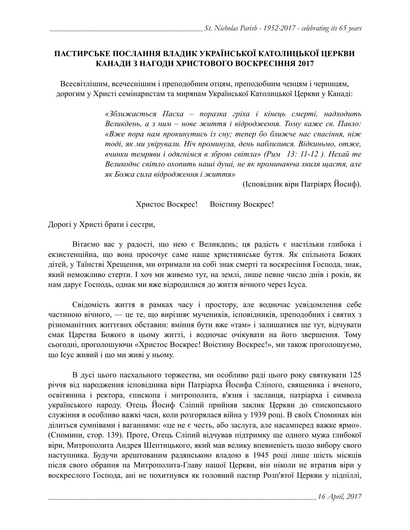### **ПАСТИРСЬКЕ ПОСЛАННЯ ВЛАДИК УКРАЇНСЬКОЇ КАТОЛИЦЬКОЇ ЦЕРКВИ КАНАДИ З НАГОДИ ХРИСТОВОГО ВОСКРЕСІННЯ 2017**

Всесвітлішим, всечеснішим і преподобним отцям, преподобним ченцям і черницям, дорогим у Христі семінаристам та мирянам Української Католицької Церкви у Канаді:

> *«Зближається Пасха – поразка гріха і кінець смерті, надходить Великдень, а з ним – нове життя і відродження. Тому каже св. Павло: «Вже пора нам прокинутись із сну; тепер бо ближче нас спасіння, ніж тоді, як ми увірували. Ніч проминула, день наблизився. Відкиньмо, отже, вчинки темряви і одягнімся в зброю світла» (Рим 13: 11-12 ). Нехай те Великоднє світло охопить наші душі, не як проминаюча хвиля щастя, але як Божа сила відродження і життя»*

> > (Ісповідник віри Патріярх Йосиф).

Христос Воскрес! Воістину Воскрес!

Дорогі у Христі брати і сестри,

Вітаємо вас у радості, що нею є Великдень; ця радість є настільки глибока і екзистенційна, що вона просочує саме наше християнське буття. Як спільнота Божих дітей, у Таїнстві Хрещення, ми отримали на собі знак смерті та воскресіння Господа, знак, який неможливо стерти. І хоч ми живемо тут, на землі, лише певне число днів і років, як нам дарує Господь, однак ми вже відродилися до життя вічного через Ісуса.

Свідомість життя в рамках часу і простору, але водночас усвідомлення себе частиною вічного, — це те, що вирізняє мучеників, ісповідників, преподобних і святих з різноманітних життєвих обставин: вміння бути вже «там» і залишатися ще тут, відчувати смак Царства Божого в цьому житті, і водночас очікувати на його звершення. Тому сьогодні, проголошуючи «Христос Воскрес! Воістину Воскрес!», ми також проголошуємо, що Ісус живий і що ми живі у ньому.

В дусі цього пасхального торжества, ми особливо раді цього року святкувати 125 річчя від народження ісповідника віри Патріарха Йосифа Сліпого, священика і вченого, освітянина і ректора, єпископа і митрополита, в'язня і засланця, патріарха і символа українського народу. Отець Йосиф Сліпий прийняв заклик Церкви до єпископського служіння в особливо важкі часи, коли розгорялася війна у 1939 році. В своїх Споминах він ділиться сумнівами і ваганнями: «це не є честь, або заслуга, але насамперед важке ярмо». (Спомини, стор. 139). Проте, Отець Сліпий відчував підтримку ще одного мужа глибокої віри, Митрополита Андрея Шептицького, який мав велику впевненість щодо вибору свого наступника. Будучи арештованим радянською владою в 1945 році лише шість місяців після свого обрання на Митрополита-Главу нашої Церкви, він ніколи не втратив віри у воскреслого Господа, ані не похитнувся як головний пастир Розп'ятої Церкви у підпіллі,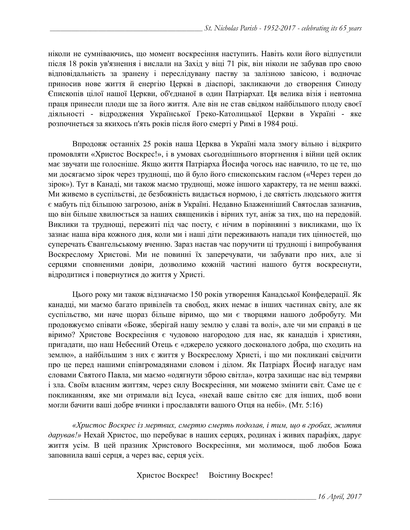ніколи не сумніваючись, що момент воскресіння наступить. Навіть коли його відпустили після 18 років ув'язнення і вислали на Захід у віці 71 рік, він ніколи не забував про свою відповідальність за зранену і переслідувану паству за залізною завісою, і водночас приносив нове життя й енергію Церкві в діаспорі, закликаючи до створення Синоду Єпископів цілої нашої Церкви, об'єднаної в один Патріархат. Ця велика візія і невтомна праця принесли плоди ще за його життя. Але він не став свідком найбільшого плоду своєї діяльності - відродження Української Греко-Католицької Церкви в Україні - яке розпочнеться за якихось п'ять років після його смерті у Римі в 1984 році.

Впродовж останніх 25 років наша Церква в Україні мала змогу вільно і відкрито промовляти «Христос Воскрес!», і в умовах сьогоднішнього вторгнення і війни цей оклик має звучати ще голосніше. Якщо життя Патріарха Йосифа чогось нас навчило, то це те, що ми досягаємо зірок через труднощі, що й було його єпископським гаслом («Через терен до зірок»). Тут в Канаді, ми також маємо труднощі, може іншого характеру, та не менш важкі. Ми живемо в суспільстві, де безбожність видається нормою, і де святість людського життя є мабуть під більшою загрозою, аніж в Україні. Недавно Блаженніший Святослав зазначив, що він більше хвилюється за наших священиків і вірних тут, аніж за тих, що на передовій. Виклики та труднощі, пережиті під час посту, є нічим в порівнянні з викликами, що їх зазнає наша віра кожного дня, коли ми і наші діти переживають напади тих цінностей, що суперечать Євангельському вченню. Зараз настав час поручити ці труднощі і випробування Воскреслому Христові. Ми не повинні їх заперечувати, чи забувати про них, але зі серцями сповненими довіри, дозволимо кожній частині нашого буття воскреснути, відродитися і повернутися до життя у Христі.

Цього року ми також відзначаємо 150 років утворення Канадської Конфедерації. Як канадці, ми маємо багато привілеїв та свобод, яких немає в інших частинах світу, але як суспільство, ми наче щораз більше віримо, що ми є творцями нашого добробуту. Ми продовжуємо співати «Боже, зберігай нашу землю у славі та волі», але чи ми справді в це віримо? Христове Воскресіння є чудовою нагородою для нас, як канадців і християн, пригадати, що наш Небесний Отець є «джерело усякого досконалого добра, що сходить на землю», а найбільшим з них є життя у Воскреслому Христі, і що ми покликані свідчити про це перед нашими співгромадянами словом і ділом. Як Патріарх Йосиф нагадує нам словами Святого Павла, ми маємо «одягнути зброю світла», котра захищає нас від темряви і зла. Своїм власним життям, через силу Воскресіння, ми можемо змінити світ. Саме це є покликанням, яке ми отримали від Ісуса, «нехай ваше світло сяє для інших, щоб вони могли бачити ваші добре вчинки і прославляти вашого Отця на небі». (Мт. 5:16)

*«Христос Воскрес із мертвих, смертю смерть подолав, і тим, що в гробах, життя дарував!»* Нехай Христос, що перебуває в наших серцях, родинах і живих парафіях, дарує життя усім. В цей празник Христового Воскресіння, ми молимося, щоб любов Божа заповнила ваші серця, а через вас, серця усіх.

Христос Воскрес! Воістину Воскрес!